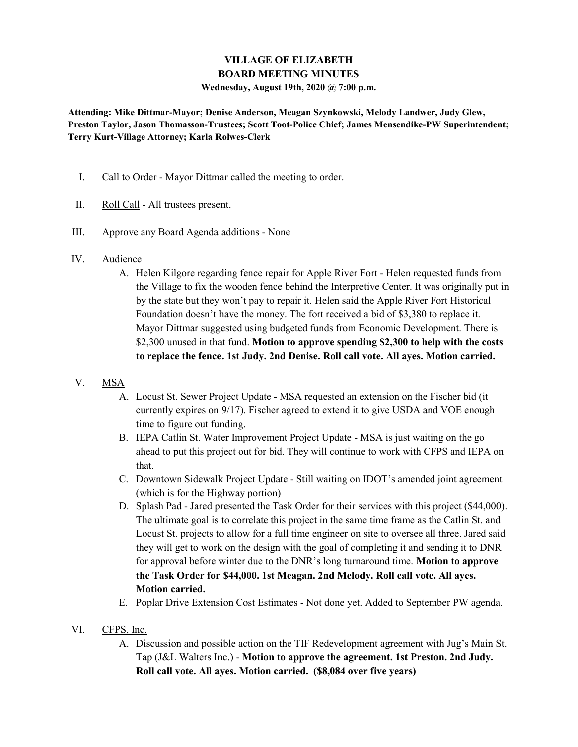### VILLAGE OF ELIZABETH BOARD MEETING MINUTES

Wednesday, August 19th, 2020 @ 7:00 p.m.

Attending: Mike Dittmar-Mayor; Denise Anderson, Meagan Szynkowski, Melody Landwer, Judy Glew, Preston Taylor, Jason Thomasson-Trustees; Scott Toot-Police Chief; James Mensendike-PW Superintendent; Terry Kurt-Village Attorney; Karla Rolwes-Clerk

- I. Call to Order Mayor Dittmar called the meeting to order.
- II. Roll Call All trustees present.
- III. Approve any Board Agenda additions None
- IV. Audience
	- A. Helen Kilgore regarding fence repair for Apple River Fort Helen requested funds from the Village to fix the wooden fence behind the Interpretive Center. It was originally put in by the state but they won't pay to repair it. Helen said the Apple River Fort Historical Foundation doesn't have the money. The fort received a bid of \$3,380 to replace it. Mayor Dittmar suggested using budgeted funds from Economic Development. There is \$2,300 unused in that fund. Motion to approve spending \$2,300 to help with the costs to replace the fence. 1st Judy. 2nd Denise. Roll call vote. All ayes. Motion carried.
- V. MSA
	- A. Locust St. Sewer Project Update MSA requested an extension on the Fischer bid (it currently expires on 9/17). Fischer agreed to extend it to give USDA and VOE enough time to figure out funding.
	- B. IEPA Catlin St. Water Improvement Project Update MSA is just waiting on the go ahead to put this project out for bid. They will continue to work with CFPS and IEPA on that.
	- C. Downtown Sidewalk Project Update Still waiting on IDOT's amended joint agreement (which is for the Highway portion)
	- D. Splash Pad Jared presented the Task Order for their services with this project (\$44,000). The ultimate goal is to correlate this project in the same time frame as the Catlin St. and Locust St. projects to allow for a full time engineer on site to oversee all three. Jared said they will get to work on the design with the goal of completing it and sending it to DNR for approval before winter due to the DNR's long turnaround time. Motion to approve the Task Order for \$44,000. 1st Meagan. 2nd Melody. Roll call vote. All ayes. Motion carried.
	- E. Poplar Drive Extension Cost Estimates Not done yet. Added to September PW agenda.
- VI. CFPS, Inc.
	- A. Discussion and possible action on the TIF Redevelopment agreement with Jug's Main St. Tap (J&L Walters Inc.) - Motion to approve the agreement. 1st Preston. 2nd Judy. Roll call vote. All ayes. Motion carried. (\$8,084 over five years)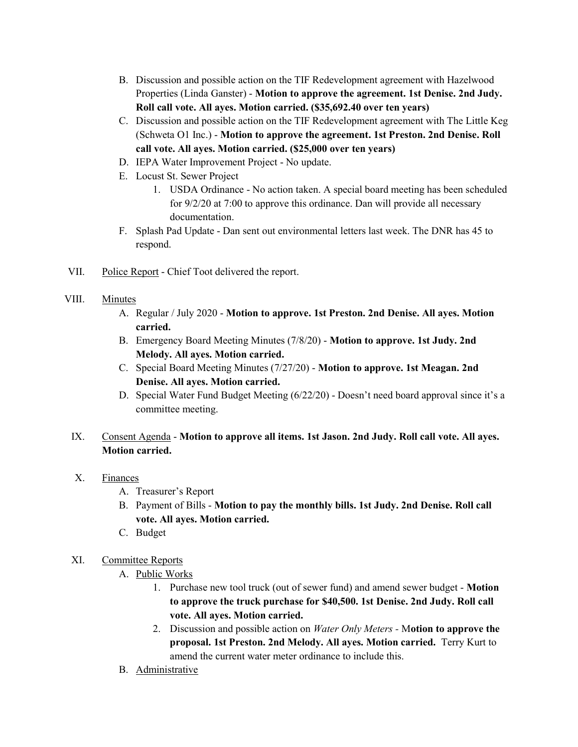- B. Discussion and possible action on the TIF Redevelopment agreement with Hazelwood Properties (Linda Ganster) - Motion to approve the agreement. 1st Denise. 2nd Judy. Roll call vote. All ayes. Motion carried. (\$35,692.40 over ten years)
- C. Discussion and possible action on the TIF Redevelopment agreement with The Little Keg (Schweta O1 Inc.) - Motion to approve the agreement. 1st Preston. 2nd Denise. Roll call vote. All ayes. Motion carried. (\$25,000 over ten years)
- D. IEPA Water Improvement Project No update.
- E. Locust St. Sewer Project
	- 1. USDA Ordinance No action taken. A special board meeting has been scheduled for 9/2/20 at 7:00 to approve this ordinance. Dan will provide all necessary documentation.
- F. Splash Pad Update Dan sent out environmental letters last week. The DNR has 45 to respond.
- VII. Police Report Chief Toot delivered the report.

#### VIII. Minutes

- A. Regular / July 2020 Motion to approve. 1st Preston. 2nd Denise. All ayes. Motion carried.
- B. Emergency Board Meeting Minutes (7/8/20) Motion to approve. 1st Judy. 2nd Melody. All ayes. Motion carried.
- C. Special Board Meeting Minutes (7/27/20) Motion to approve. 1st Meagan. 2nd Denise. All ayes. Motion carried.
- D. Special Water Fund Budget Meeting (6/22/20) Doesn't need board approval since it's a committee meeting.

# IX. Consent Agenda - Motion to approve all items. 1st Jason. 2nd Judy. Roll call vote. All ayes. Motion carried.

- X. Finances
	- A. Treasurer's Report
	- B. Payment of Bills Motion to pay the monthly bills. 1st Judy. 2nd Denise. Roll call vote. All ayes. Motion carried.
	- C. Budget

### XI. Committee Reports

- A. Public Works
	- 1. Purchase new tool truck (out of sewer fund) and amend sewer budget Motion to approve the truck purchase for \$40,500. 1st Denise. 2nd Judy. Roll call vote. All ayes. Motion carried.
	- 2. Discussion and possible action on *Water Only Meters* Motion to approve the proposal. 1st Preston. 2nd Melody. All ayes. Motion carried. Terry Kurt to amend the current water meter ordinance to include this.
- B. Administrative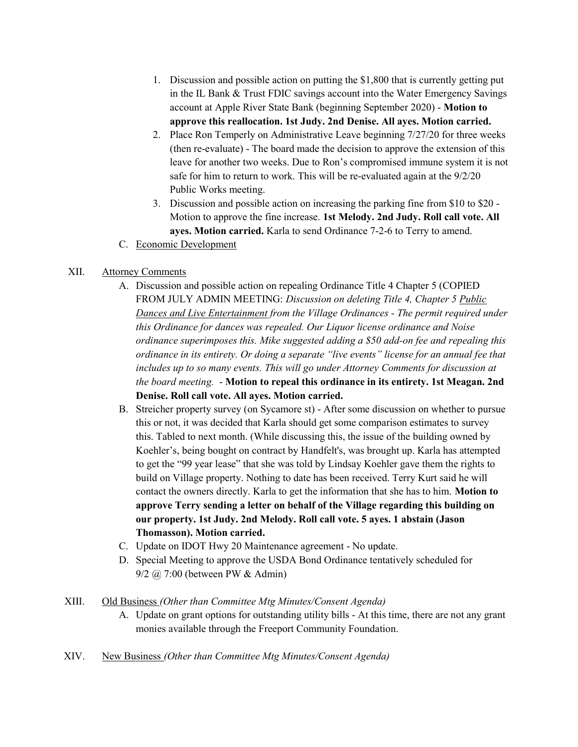- 1. Discussion and possible action on putting the \$1,800 that is currently getting put in the IL Bank & Trust FDIC savings account into the Water Emergency Savings account at Apple River State Bank (beginning September 2020) - Motion to approve this reallocation. 1st Judy. 2nd Denise. All ayes. Motion carried.
- 2. Place Ron Temperly on Administrative Leave beginning 7/27/20 for three weeks (then re-evaluate) - The board made the decision to approve the extension of this leave for another two weeks. Due to Ron's compromised immune system it is not safe for him to return to work. This will be re-evaluated again at the 9/2/20 Public Works meeting.
- 3. Discussion and possible action on increasing the parking fine from \$10 to \$20 Motion to approve the fine increase. 1st Melody. 2nd Judy. Roll call vote. All ayes. Motion carried. Karla to send Ordinance 7-2-6 to Terry to amend.
- C. Economic Development

# XII. Attorney Comments

- A. Discussion and possible action on repealing Ordinance Title 4 Chapter 5 (COPIED FROM JULY ADMIN MEETING: Discussion on deleting Title 4, Chapter 5 Public Dances and Live Entertainment from the Village Ordinances - The permit required under this Ordinance for dances was repealed. Our Liquor license ordinance and Noise ordinance superimposes this. Mike suggested adding a \$50 add-on fee and repealing this ordinance in its entirety. Or doing a separate "live events" license for an annual fee that includes up to so many events. This will go under Attorney Comments for discussion at the board meeting. - Motion to repeal this ordinance in its entirety. 1st Meagan. 2nd Denise. Roll call vote. All ayes. Motion carried.
- B. Streicher property survey (on Sycamore st) After some discussion on whether to pursue this or not, it was decided that Karla should get some comparison estimates to survey this. Tabled to next month. (While discussing this, the issue of the building owned by Koehler's, being bought on contract by Handfelt's, was brought up. Karla has attempted to get the "99 year lease" that she was told by Lindsay Koehler gave them the rights to build on Village property. Nothing to date has been received. Terry Kurt said he will contact the owners directly. Karla to get the information that she has to him. Motion to approve Terry sending a letter on behalf of the Village regarding this building on our property. 1st Judy. 2nd Melody. Roll call vote. 5 ayes. 1 abstain (Jason Thomasson). Motion carried.
- C. Update on IDOT Hwy 20 Maintenance agreement No update.
- D. Special Meeting to approve the USDA Bond Ordinance tentatively scheduled for 9/2 @ 7:00 (between PW & Admin)
- XIII. Old Business (Other than Committee Mtg Minutes/Consent Agenda)
	- A. Update on grant options for outstanding utility bills At this time, there are not any grant monies available through the Freeport Community Foundation.
- XIV. New Business (Other than Committee Mtg Minutes/Consent Agenda)